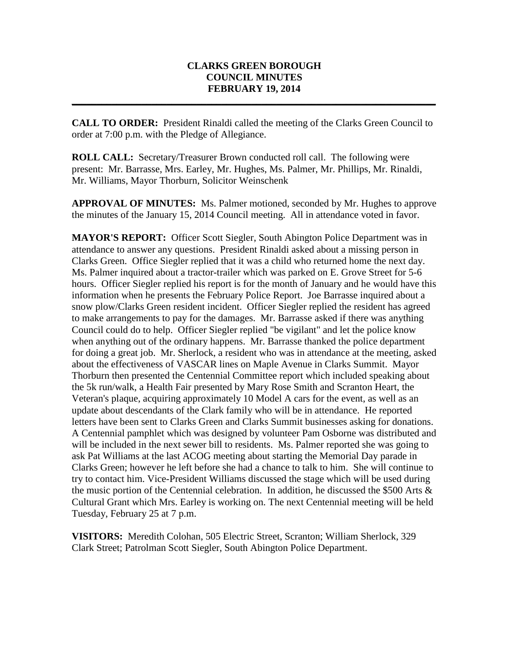## **CLARKS GREEN BOROUGH COUNCIL MINUTES FEBRUARY 19, 2014**

**\_\_\_\_\_\_\_\_\_\_\_\_\_\_\_\_\_\_\_\_\_\_\_\_\_\_\_\_\_\_\_\_\_\_\_\_\_\_\_\_\_\_\_\_\_\_\_\_\_\_\_\_\_\_\_\_\_\_\_\_\_\_\_\_\_\_\_\_\_\_\_\_\_**

**CALL TO ORDER:** President Rinaldi called the meeting of the Clarks Green Council to order at 7:00 p.m. with the Pledge of Allegiance.

**ROLL CALL:** Secretary/Treasurer Brown conducted roll call. The following were present: Mr. Barrasse, Mrs. Earley, Mr. Hughes, Ms. Palmer, Mr. Phillips, Mr. Rinaldi, Mr. Williams, Mayor Thorburn, Solicitor Weinschenk

**APPROVAL OF MINUTES:** Ms. Palmer motioned, seconded by Mr. Hughes to approve the minutes of the January 15, 2014 Council meeting. All in attendance voted in favor.

**MAYOR'S REPORT:** Officer Scott Siegler, South Abington Police Department was in attendance to answer any questions. President Rinaldi asked about a missing person in Clarks Green. Office Siegler replied that it was a child who returned home the next day. Ms. Palmer inquired about a tractor-trailer which was parked on E. Grove Street for 5-6 hours. Officer Siegler replied his report is for the month of January and he would have this information when he presents the February Police Report. Joe Barrasse inquired about a snow plow/Clarks Green resident incident. Officer Siegler replied the resident has agreed to make arrangements to pay for the damages. Mr. Barrasse asked if there was anything Council could do to help. Officer Siegler replied "be vigilant" and let the police know when anything out of the ordinary happens. Mr. Barrasse thanked the police department for doing a great job. Mr. Sherlock, a resident who was in attendance at the meeting, asked about the effectiveness of VASCAR lines on Maple Avenue in Clarks Summit. Mayor Thorburn then presented the Centennial Committee report which included speaking about the 5k run/walk, a Health Fair presented by Mary Rose Smith and Scranton Heart, the Veteran's plaque, acquiring approximately 10 Model A cars for the event, as well as an update about descendants of the Clark family who will be in attendance. He reported letters have been sent to Clarks Green and Clarks Summit businesses asking for donations. A Centennial pamphlet which was designed by volunteer Pam Osborne was distributed and will be included in the next sewer bill to residents. Ms. Palmer reported she was going to ask Pat Williams at the last ACOG meeting about starting the Memorial Day parade in Clarks Green; however he left before she had a chance to talk to him. She will continue to try to contact him. Vice-President Williams discussed the stage which will be used during the music portion of the Centennial celebration. In addition, he discussed the \$500 Arts & Cultural Grant which Mrs. Earley is working on. The next Centennial meeting will be held Tuesday, February 25 at 7 p.m.

**VISITORS:** Meredith Colohan, 505 Electric Street, Scranton; William Sherlock, 329 Clark Street; Patrolman Scott Siegler, South Abington Police Department.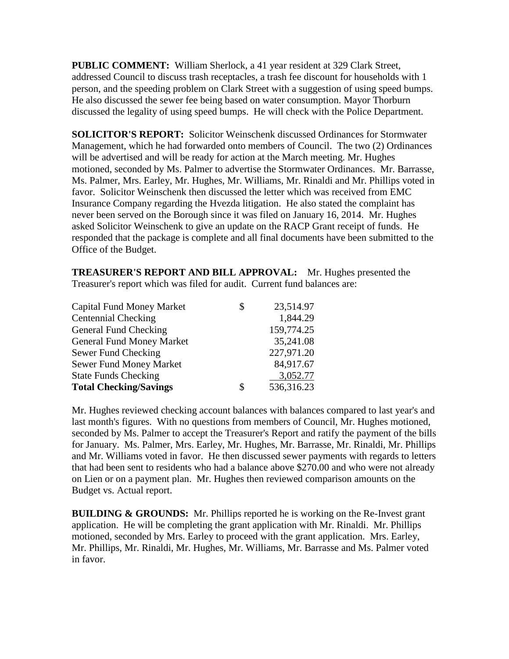**PUBLIC COMMENT:** William Sherlock, a 41 year resident at 329 Clark Street, addressed Council to discuss trash receptacles, a trash fee discount for households with 1 person, and the speeding problem on Clark Street with a suggestion of using speed bumps. He also discussed the sewer fee being based on water consumption. Mayor Thorburn discussed the legality of using speed bumps. He will check with the Police Department.

**SOLICITOR'S REPORT:** Solicitor Weinschenk discussed Ordinances for Stormwater Management, which he had forwarded onto members of Council. The two (2) Ordinances will be advertised and will be ready for action at the March meeting. Mr. Hughes motioned, seconded by Ms. Palmer to advertise the Stormwater Ordinances. Mr. Barrasse, Ms. Palmer, Mrs. Earley, Mr. Hughes, Mr. Williams, Mr. Rinaldi and Mr. Phillips voted in favor. Solicitor Weinschenk then discussed the letter which was received from EMC Insurance Company regarding the Hvezda litigation. He also stated the complaint has never been served on the Borough since it was filed on January 16, 2014. Mr. Hughes asked Solicitor Weinschenk to give an update on the RACP Grant receipt of funds. He responded that the package is complete and all final documents have been submitted to the Office of the Budget.

**TREASURER'S REPORT AND BILL APPROVAL:** Mr. Hughes presented the Treasurer's report which was filed for audit. Current fund balances are:

| \$<br>23,514.97  |
|------------------|
| 1,844.29         |
| 159,774.25       |
| 35,241.08        |
| 227,971.20       |
| 84,917.67        |
| 3,052.77         |
| \$<br>536,316.23 |
|                  |

Mr. Hughes reviewed checking account balances with balances compared to last year's and last month's figures. With no questions from members of Council, Mr. Hughes motioned, seconded by Ms. Palmer to accept the Treasurer's Report and ratify the payment of the bills for January. Ms. Palmer, Mrs. Earley, Mr. Hughes, Mr. Barrasse, Mr. Rinaldi, Mr. Phillips and Mr. Williams voted in favor. He then discussed sewer payments with regards to letters that had been sent to residents who had a balance above \$270.00 and who were not already on Lien or on a payment plan. Mr. Hughes then reviewed comparison amounts on the Budget vs. Actual report.

**BUILDING & GROUNDS:** Mr. Phillips reported he is working on the Re-Invest grant application. He will be completing the grant application with Mr. Rinaldi. Mr. Phillips motioned, seconded by Mrs. Earley to proceed with the grant application. Mrs. Earley, Mr. Phillips, Mr. Rinaldi, Mr. Hughes, Mr. Williams, Mr. Barrasse and Ms. Palmer voted in favor.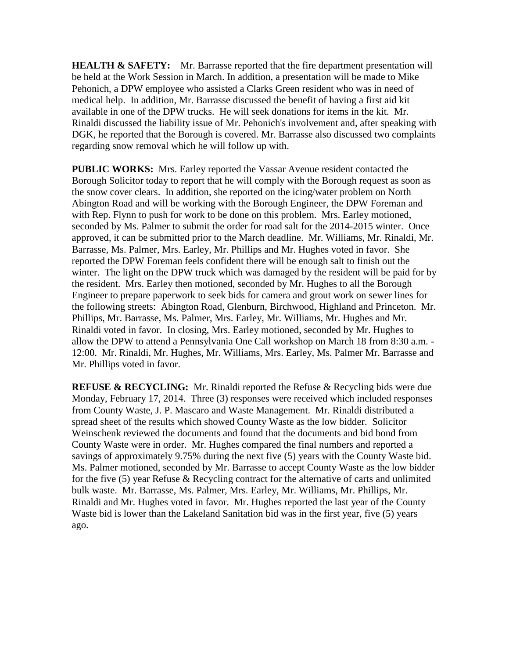**HEALTH & SAFETY:** Mr. Barrasse reported that the fire department presentation will be held at the Work Session in March. In addition, a presentation will be made to Mike Pehonich, a DPW employee who assisted a Clarks Green resident who was in need of medical help. In addition, Mr. Barrasse discussed the benefit of having a first aid kit available in one of the DPW trucks. He will seek donations for items in the kit. Mr. Rinaldi discussed the liability issue of Mr. Pehonich's involvement and, after speaking with DGK, he reported that the Borough is covered. Mr. Barrasse also discussed two complaints regarding snow removal which he will follow up with.

**PUBLIC WORKS:** Mrs. Earley reported the Vassar Avenue resident contacted the Borough Solicitor today to report that he will comply with the Borough request as soon as the snow cover clears. In addition, she reported on the icing/water problem on North Abington Road and will be working with the Borough Engineer, the DPW Foreman and with Rep. Flynn to push for work to be done on this problem. Mrs. Earley motioned, seconded by Ms. Palmer to submit the order for road salt for the 2014-2015 winter. Once approved, it can be submitted prior to the March deadline. Mr. Williams, Mr. Rinaldi, Mr. Barrasse, Ms. Palmer, Mrs. Earley, Mr. Phillips and Mr. Hughes voted in favor. She reported the DPW Foreman feels confident there will be enough salt to finish out the winter. The light on the DPW truck which was damaged by the resident will be paid for by the resident. Mrs. Earley then motioned, seconded by Mr. Hughes to all the Borough Engineer to prepare paperwork to seek bids for camera and grout work on sewer lines for the following streets: Abington Road, Glenburn, Birchwood, Highland and Princeton. Mr. Phillips, Mr. Barrasse, Ms. Palmer, Mrs. Earley, Mr. Williams, Mr. Hughes and Mr. Rinaldi voted in favor. In closing, Mrs. Earley motioned, seconded by Mr. Hughes to allow the DPW to attend a Pennsylvania One Call workshop on March 18 from 8:30 a.m. - 12:00. Mr. Rinaldi, Mr. Hughes, Mr. Williams, Mrs. Earley, Ms. Palmer Mr. Barrasse and Mr. Phillips voted in favor.

**REFUSE & RECYCLING:** Mr. Rinaldi reported the Refuse & Recycling bids were due Monday, February 17, 2014. Three (3) responses were received which included responses from County Waste, J. P. Mascaro and Waste Management. Mr. Rinaldi distributed a spread sheet of the results which showed County Waste as the low bidder. Solicitor Weinschenk reviewed the documents and found that the documents and bid bond from County Waste were in order. Mr. Hughes compared the final numbers and reported a savings of approximately 9.75% during the next five (5) years with the County Waste bid. Ms. Palmer motioned, seconded by Mr. Barrasse to accept County Waste as the low bidder for the five (5) year Refuse & Recycling contract for the alternative of carts and unlimited bulk waste. Mr. Barrasse, Ms. Palmer, Mrs. Earley, Mr. Williams, Mr. Phillips, Mr. Rinaldi and Mr. Hughes voted in favor. Mr. Hughes reported the last year of the County Waste bid is lower than the Lakeland Sanitation bid was in the first year, five (5) years ago.